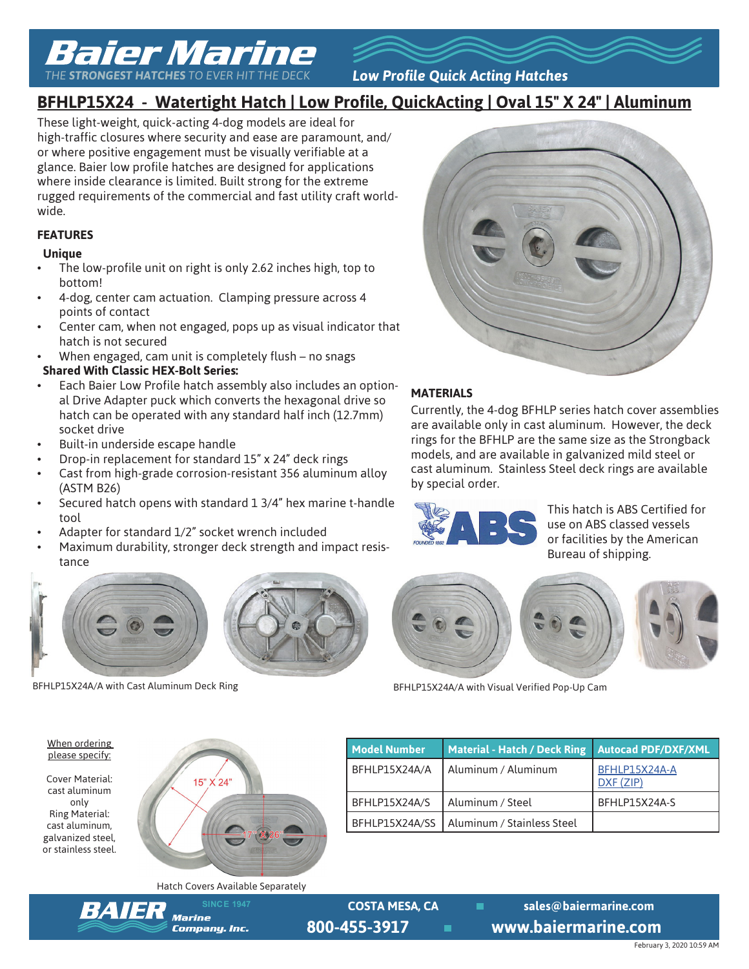# Baier Marine

*THE STRONGEST HATCHES TO EVER HIT THE DECK*

*Low Profile Quick Acting Hatches*

# **BFHLP15X24 - Watertight Hatch | Low Profile, QuickActing | Oval 15" X 24" | Aluminum**

These light-weight, quick-acting 4-dog models are ideal for high-traffic closures where security and ease are paramount, and/ or where positive engagement must be visually verifiable at a glance. Baier low profile hatches are designed for applications where inside clearance is limited. Built strong for the extreme rugged requirements of the commercial and fast utility craft worldwide.

# **FEATURES**

#### **Unique**

- The low-profile unit on right is only 2.62 inches high, top to bottom!
- 4-dog, center cam actuation. Clamping pressure across 4 points of contact
- Center cam, when not engaged, pops up as visual indicator that hatch is not secured
- When engaged, cam unit is completely flush no snags

## **Shared With Classic HEX-Bolt Series:**

- Each Baier Low Profile hatch assembly also includes an optional Drive Adapter puck which converts the hexagonal drive so hatch can be operated with any standard half inch (12.7mm) socket drive
- Built-in underside escape handle
- Drop-in replacement for standard 15" x 24" deck rings
- Cast from high-grade corrosion-resistant 356 aluminum alloy (ASTM B26)
- Secured hatch opens with standard 1 3/4" hex marine t-handle tool
- Adapter for standard 1/2" socket wrench included
- Maximum durability, stronger deck strength and impact resistance



## **MATERIALS**

Currently, the 4-dog BFHLP series hatch cover assemblies are available only in cast aluminum. However, the deck rings for the BFHLP are the same size as the Strongback models, and are available in galvanized mild steel or cast aluminum. Stainless Steel deck rings are available by special order.



This hatch is ABS Certified for use on ABS classed vessels or facilities by the American Bureau of shipping.



BFHLP15X24A/A with Cast Aluminum Deck Ring BFHLP15X24A/A with Visual Verified Pop-Up Cam

When ordering please specify:

Cover Material: cast aluminum only Ring Material: cast aluminum, galvanized steel, or stainless steel.



| <b>Model Number</b> | <b>Material - Hatch / Deck Ring</b> | <b>Autocad PDF/DXF/XML</b> |
|---------------------|-------------------------------------|----------------------------|
| BFHLP15X24A/A       | Aluminum / Aluminum                 | BFHLP15X24A-A<br>DXF (ZIP) |
| BFHLP15X24A/S       | Aluminum / Steel                    | BFHLP15X24A-S              |
| BFHLP15X24A/SS      | Aluminum / Stainless Steel          |                            |

Hatch Covers Available Separately



**SINCE 1947 COSTA MESA, CA** sales@baiermarine.com **800-455-3917 www.baiermarine.com**